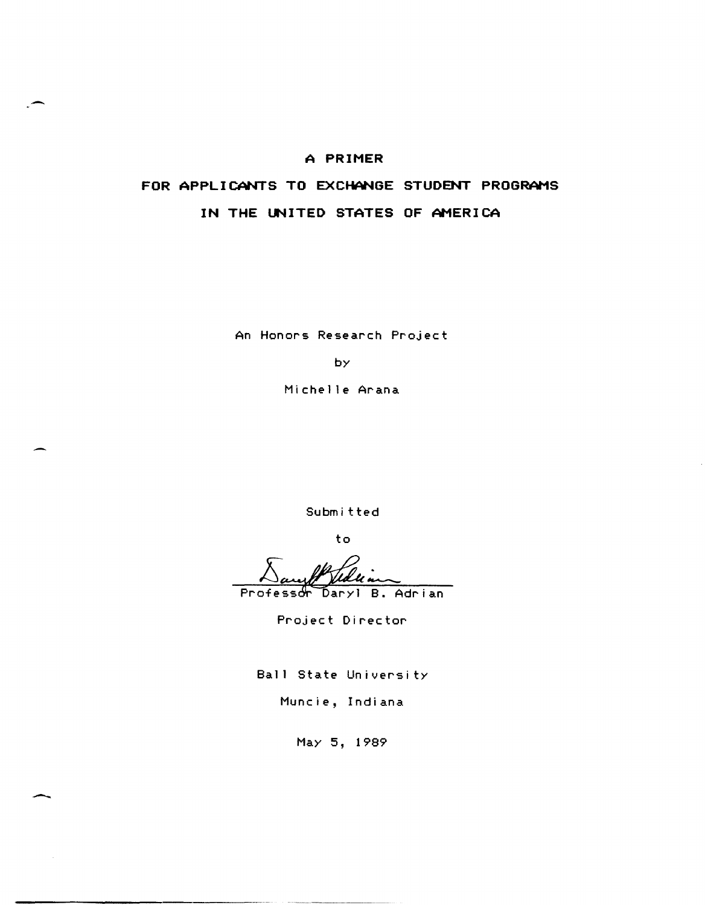## **A PRIMER**

-

 $\overline{\phantom{a}}$ 

# **FOR APPLICANTS TO EXCHANGE STUDENT PROGRAMS IN THE UNITED STATES OF AMERICA**

An Honors Research Project

by

Michelle Arana

Subm it ted

to

ofessor Daryl B. Adrian

Project Director

Ball State University

Muncie, Indiana

May 5, 1989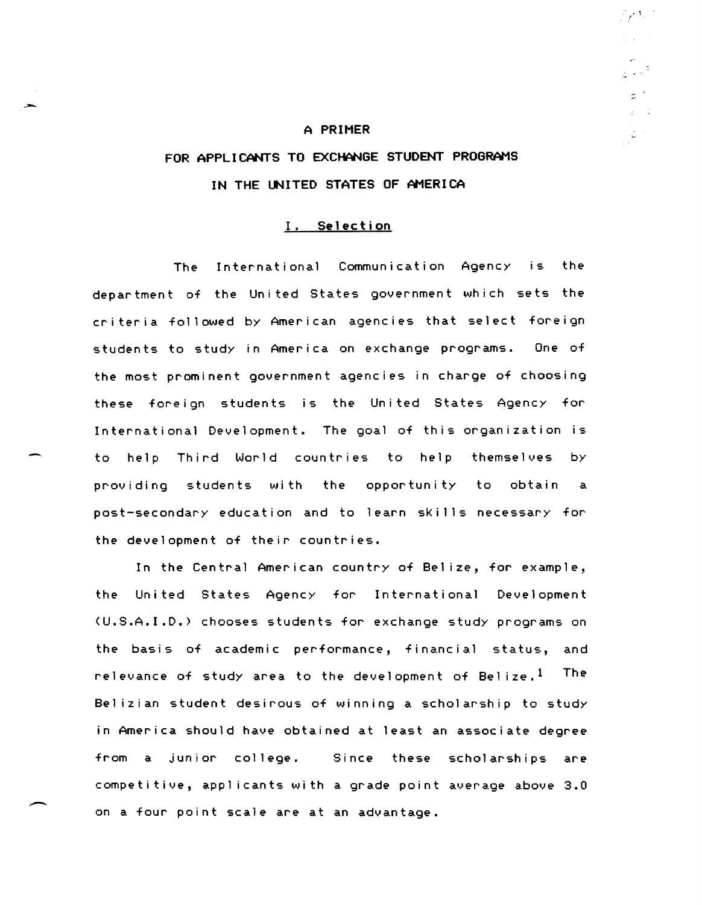#### **A PRIMER**

 $\sim$  1.

:::

# **FOR APPLICANTS TO EXCHANGE STUDENT PROGRAMS IN THE UNITED STATES OF AMERICA**

### I. **Selection**

The International Communication Agency is the department of the United States government which sets the criteria followed by American agencies that select foreign students to study in America on exchange programs. One of the most prominent government agencies in charge of choosing these foreign students is the United States Agency for International Development. The goal of this organization is to help Third World countries to help themselves by providing students with the opportunity to obtain a post-secondary education and to learn sKills necessary for the development of their countries.

In the Central American country of Bel ize, for example, the United States Agency for International Development (U.S.A.I.D.) chooses students for exchange study programs on the basis of academic performance, financial status, and relevance of study area to the development of Belize.<sup>1</sup> The Bel izian student desirous of winning a scholarship to study in America should have obtained at least an associate degree from a junior college. Since these scholarships are competitive, applicants with a grade point average above 3.0 on a four point scale are at an advantage.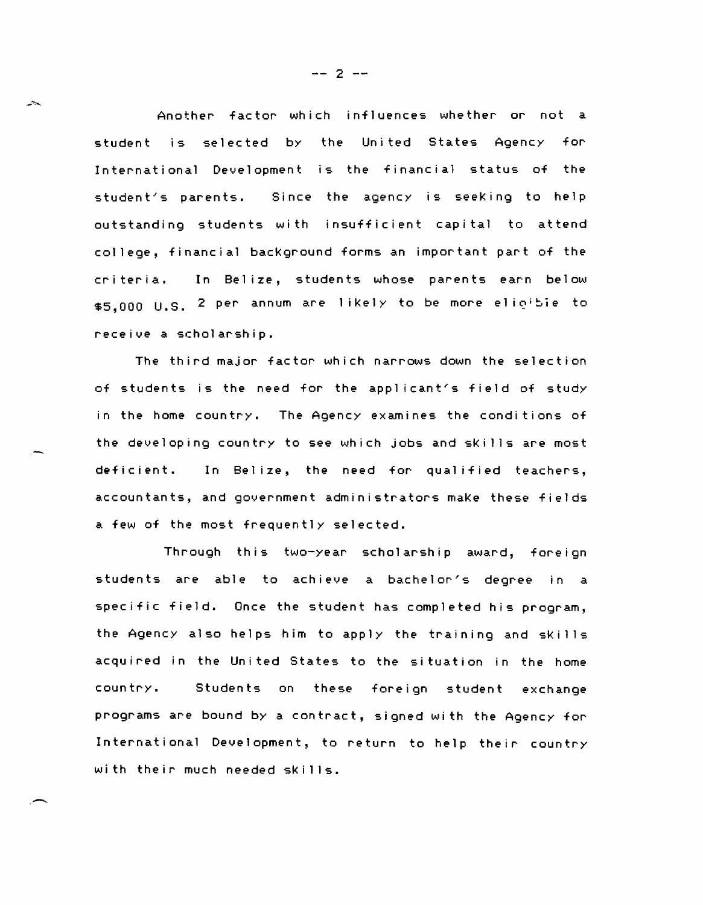Another factor which influences whether or not a student is selected by the United states Agency for International Development is the financial status of the  $student's$  parents. the agency is seeking to help outstanding students with insufficient capital to attend college, financial bacKground forms an important part of the criteria. In Belize, students whose parents earn below \$5,000 U.S. 2 per annum are likely to be more elicible to receive a scholarship.

The third major factor which narrows down the selection of students is the need for the applicant's field of study in the home country. The Agency examines the conditions of the developing country to see which jobs and sKills are most deficient. In Belize, the need for qualified teachers, accountants, and government administrators maKe these fields a few of the most frequently selected.

 $~\cdot~$ 

ستشير

Through this two-year scholarship award, foreign students are able to achieve a bachelor's degree in a specific field. Once the student has completed his program, the Agency also helps him to apply the training and sKills acquired in the United States to the situation in the home country. Students on these foreign student exchange programs are bound by a contract, signed with the Agency for International Development, to return to help their country with their much needed skills.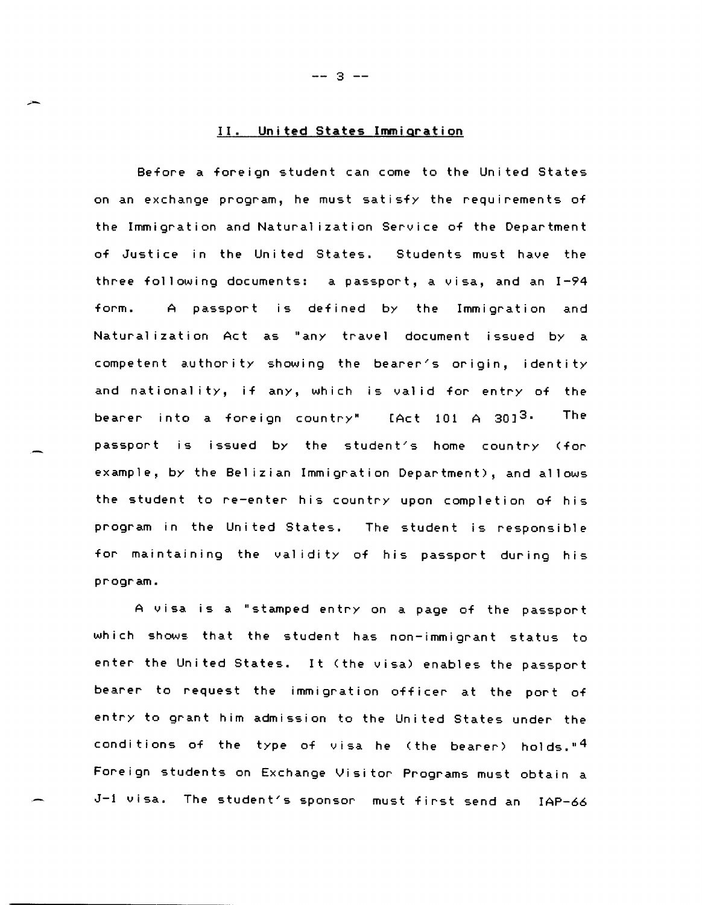### II. United States Immigration

Before a foreign student can come to the United States on an exchange program, he must satisfy the requirements of the Immigration and Natural ization Service of the Department of Justice in the United States. Students must have the three following documents: a passport, a visa, and an  $I-P4$ form. A passport is defined by the Immigration and Natural ization Act as "any travel document issued by a competent authority showing the bearer's origin, identity and nationality, if any, which is valid for entry of the bearer into a foreign country" [Act 101 A 30]<sup>3</sup>. The passport is issued by the student's home country (for example, by the Bel izian Immigration Department), and allows the student to re-enter his country upon completion of his program in the United States. The student is responsible for maintaining the validity of his passport during his program.

A visa is a "stamped entry on a page of the passport which shows that the student has non-immigrant status to enter the United States. It (the visa) enables the passport bearer to request the immigration officer at the port of entry to grant him admission to the United States under the conditions of the type of visa he (the bearer) holds." $4$ Foreign students on Exchange Visitor Programs must obtain a  $J-1$  visa. The student's sponsor must first send an IAP-66

-- 3 --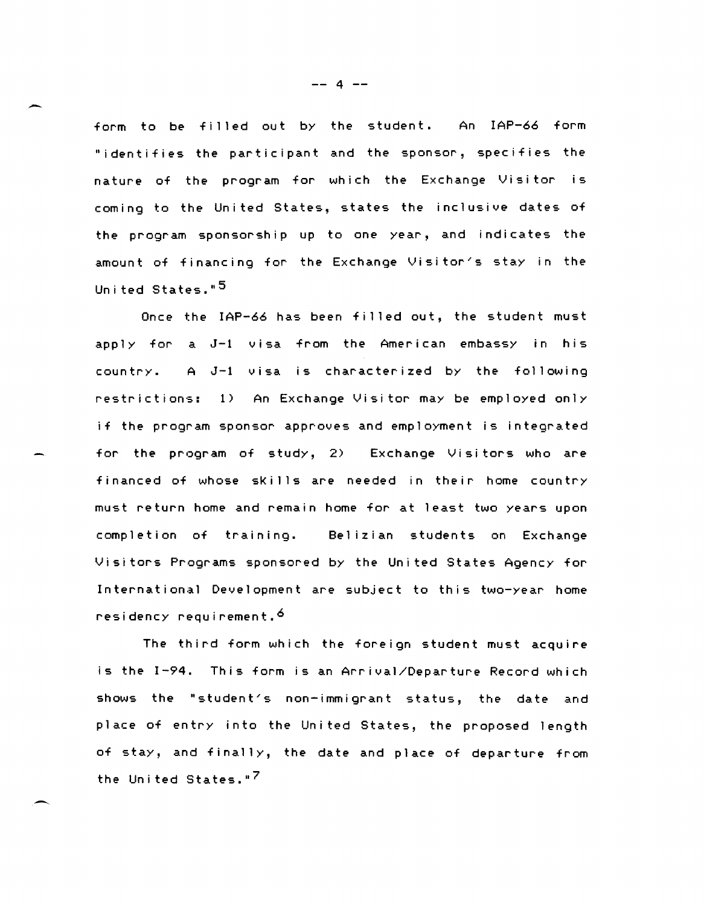form to be filled out by the student. An IAP-66 form "identifies the participant and the sponsor, specifies the nature of the program for which the Exchange Visitor is coming to the United states, states the inclusive dates of the program sponsorship up to one year, and indicates the amount of financing for the Exchange Visitor's stay in the United States."<sup>5</sup>

Once the IAP-66 has been filled out, the student must apply for a J-l visa from the American embassy in his country. A J-1 visa is characterized by the following restrictions: 1) An Exchange Visitor may be employed only if the program sponsor approves and employment is integrated for the program of study, 2) Exchange Visitors who are financed of whose skills are needed in their home country must return home and remain home for at least two years upon completion of training. Bel izian students on Exchange Visitors Programs sponsored by the United States Agency for International Development are subject to this two-year home residency requirement. 6

The third form which the foreign student must acquire is the 1-94. This form is an Arrival/Departure Record which shows the "student's non-immigrant status, the date and place of entry into the United States, the proposed length of stay, and finally, the date and place of departure from the United States."<sup>7</sup>

-- 4 --

-

--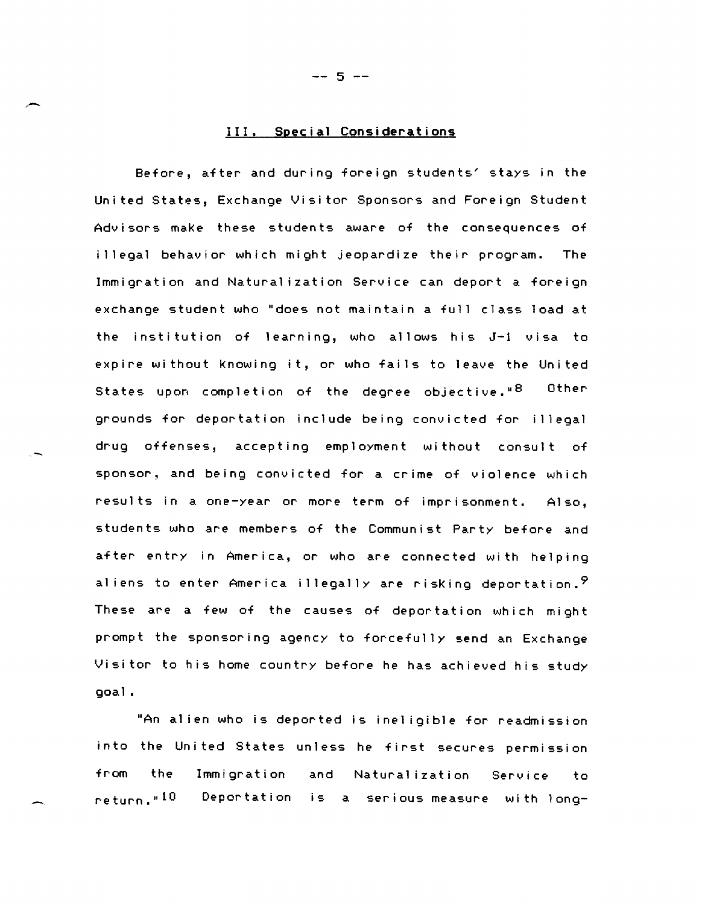## III. **Special Considerations**

Before, after and during foreign students~ stays in the United States, Exchange Visitor Sponsors and Foreign Student Advisors make these students aware of the consequences of illegal behavior which might jeopardize their program. The Immigration and Natural ization Service can deport a foreign exchange student who "does not maintain a full class load at the institution of learning, who allows his J-1 visa to expire without Knowing it, or who fails to leave the United States upon completion of the degree objective."<sup>8</sup> Other grounds for deportation include being convicted for illegal drug offenses, accepting employment without consult of sponsor, and being convicted for a crime of violence which results in a one-year or more term of imprisonment. Also, students who are members of the Communist Party before and after entry in America, or who are connected with helping aliens to enter America illegally are risking deportation.  $9$ These are a few of the causes of deportation which might prompt the sponsoring agency to forcefully send an Exchange Visitor to his home country before he has achieved his study qoal.

"An al ien who is deported is inel igible for readmission into the United States unless he first secures permission from the return." 10 Immigration Depor ta t i on and is serious measure with long-Naturalization Service to

 $-- 5 --$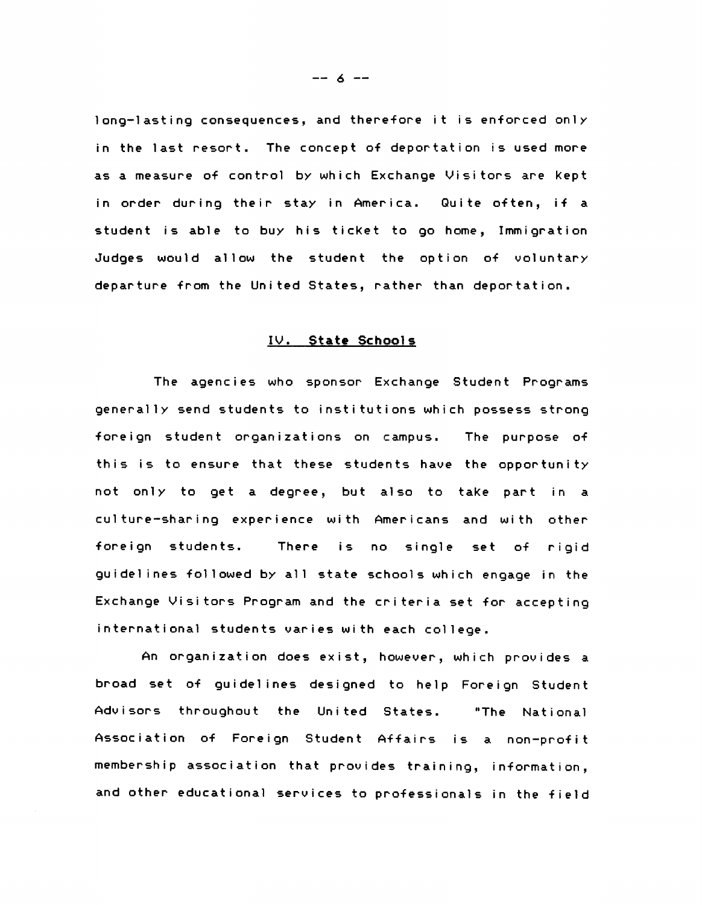long-lasting consequences, and therefore it is enforced only in the last resort. The concept of deportation is used more as a measure of control by which Exchange Visitors are Kept in order during their stay in America. Quite often, if a student is able to buy his ticket to go home, Immigration Judges would allow the student the option of voluntary departure from the United States, rather than deportation.

### IV. **State** Schools

The agencies who sponsor Exchange Student Programs generally send students to institutions which possess strong foreign student organizations on campus. The purpose of this is to ensure that these students have the opportunity not only to get a degree, but also to take part in a culture-sharing experience wi th Americans and wi th other foreign students. There is no single set of rigid guidel ines followed by all state schools which engage in the Exchange Visitors Program and the criteria set for accepting international students varies with each college.

An organization does exist, however, which provides a broad set of guidelines designed to help Foreign Student Advisors throughout the United States. "The National Association of Foreign Student Affairs is a non-profit membership association that provides training, information, and other educational services to professionals in the field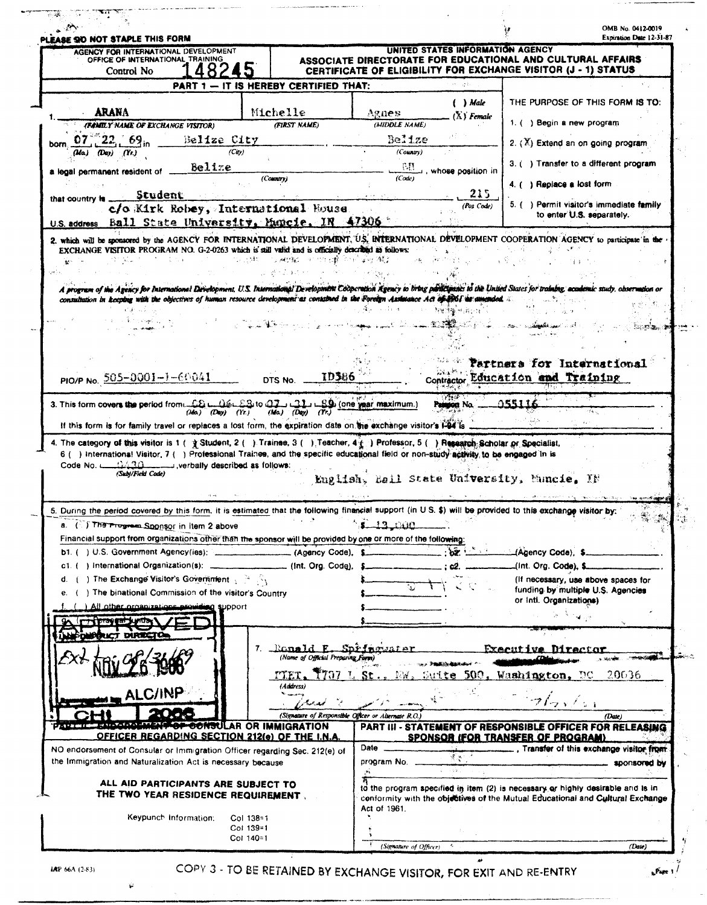| LEASE OO NOT STAPLE THIS FORM<br>AGENCY FOR INTERNATIONAL DEVELOPMENT                                                                                                                                                                                                                                                                                                                                                                                                                                                                                                                                                                            |                                                                                                                                                                  |                                                                                   |                   |                                                                                 | Expiration Date 12-31-87                 |  |
|--------------------------------------------------------------------------------------------------------------------------------------------------------------------------------------------------------------------------------------------------------------------------------------------------------------------------------------------------------------------------------------------------------------------------------------------------------------------------------------------------------------------------------------------------------------------------------------------------------------------------------------------------|------------------------------------------------------------------------------------------------------------------------------------------------------------------|-----------------------------------------------------------------------------------|-------------------|---------------------------------------------------------------------------------|------------------------------------------|--|
| OFFICE OF INTERNATIONAL TRAINING<br>Control No                                                                                                                                                                                                                                                                                                                                                                                                                                                                                                                                                                                                   | UNITED STATES INFORMATION AGENCY<br>ASSOCIATE DIRECTORATE FOR EDUCATIONAL AND CULTURAL AFFAIRS<br>CERTIFICATE OF ELIGIBILITY FOR EXCHANGE VISITOR (J - 1) STATUS |                                                                                   |                   |                                                                                 |                                          |  |
|                                                                                                                                                                                                                                                                                                                                                                                                                                                                                                                                                                                                                                                  | PART 1 - IT IS HEREBY CERTIFIED THAT:                                                                                                                            |                                                                                   | 计一进制              |                                                                                 |                                          |  |
|                                                                                                                                                                                                                                                                                                                                                                                                                                                                                                                                                                                                                                                  |                                                                                                                                                                  |                                                                                   | ( ) Male          |                                                                                 | THE PURPOSE OF THIS FORM IS TO:          |  |
| ARANA                                                                                                                                                                                                                                                                                                                                                                                                                                                                                                                                                                                                                                            | Michelle                                                                                                                                                         | Agnes.                                                                            | $(X)$ Female      |                                                                                 |                                          |  |
| (FAMILY NAME OF EXCHANGE VISITOR)                                                                                                                                                                                                                                                                                                                                                                                                                                                                                                                                                                                                                | (FIRST NAME)                                                                                                                                                     | (MIDDLE NAME)                                                                     |                   | 1. ( ) Begin a new program                                                      |                                          |  |
| $07^{\degree}22.69$ Belize City                                                                                                                                                                                                                                                                                                                                                                                                                                                                                                                                                                                                                  |                                                                                                                                                                  | Belize                                                                            |                   | 2. $(X)$ Extend an on going program                                             |                                          |  |
| (City)<br>$(M\alpha)$ $(D\alpha y)$ $(Yr)$                                                                                                                                                                                                                                                                                                                                                                                                                                                                                                                                                                                                       |                                                                                                                                                                  | (Country)                                                                         |                   |                                                                                 |                                          |  |
| $B$ elize<br>a legal permanent resident of .                                                                                                                                                                                                                                                                                                                                                                                                                                                                                                                                                                                                     |                                                                                                                                                                  | - F.E                                                                             | whose position in | 3. () Transfer to a different program                                           |                                          |  |
|                                                                                                                                                                                                                                                                                                                                                                                                                                                                                                                                                                                                                                                  | (Country)                                                                                                                                                        | (Code)                                                                            |                   | 4. ( ) Replace a lost form                                                      |                                          |  |
| Student<br>that country is                                                                                                                                                                                                                                                                                                                                                                                                                                                                                                                                                                                                                       |                                                                                                                                                                  |                                                                                   | 215               |                                                                                 |                                          |  |
| c/o Kirk Robey, International House                                                                                                                                                                                                                                                                                                                                                                                                                                                                                                                                                                                                              |                                                                                                                                                                  |                                                                                   | (Pos Code)        |                                                                                 | 5. () Permit visitor's immediate family  |  |
| U.S. address Ball State University, Muncie, IN 47306                                                                                                                                                                                                                                                                                                                                                                                                                                                                                                                                                                                             |                                                                                                                                                                  |                                                                                   |                   |                                                                                 | to enter U.S. separately.                |  |
| 2. which will be sponsored by the AGENCY FOR INTERNATIONAL DEVELOPMENT, U.S. INTERNATIONAL DEVELOPMENT COOPERATION AGENCY to participate in the                                                                                                                                                                                                                                                                                                                                                                                                                                                                                                  |                                                                                                                                                                  |                                                                                   |                   |                                                                                 |                                          |  |
| EXCHANGE VISITOR PROGRAM NO. G-2-0263 which is still valid and is officially described as follows:                                                                                                                                                                                                                                                                                                                                                                                                                                                                                                                                               |                                                                                                                                                                  |                                                                                   |                   |                                                                                 |                                          |  |
|                                                                                                                                                                                                                                                                                                                                                                                                                                                                                                                                                                                                                                                  | 医神经脑炎 不可地 出现 中国的复数 補子<br>不定 计频率                                                                                                                                  |                                                                                   |                   |                                                                                 |                                          |  |
|                                                                                                                                                                                                                                                                                                                                                                                                                                                                                                                                                                                                                                                  |                                                                                                                                                                  |                                                                                   |                   |                                                                                 |                                          |  |
| A program of the Agency for International Exvelopment, U.S. International Development Cooperation Agency to bring participants to the United States for training, accedents caudy, observation or                                                                                                                                                                                                                                                                                                                                                                                                                                                |                                                                                                                                                                  |                                                                                   |                   |                                                                                 |                                          |  |
| consultation in keeping with the objectives of human resource development as consulted in the Foreign Assurance Act of the amended.                                                                                                                                                                                                                                                                                                                                                                                                                                                                                                              |                                                                                                                                                                  |                                                                                   |                   |                                                                                 |                                          |  |
|                                                                                                                                                                                                                                                                                                                                                                                                                                                                                                                                                                                                                                                  |                                                                                                                                                                  |                                                                                   | 解射性输卵 音分组         |                                                                                 |                                          |  |
|                                                                                                                                                                                                                                                                                                                                                                                                                                                                                                                                                                                                                                                  |                                                                                                                                                                  |                                                                                   |                   |                                                                                 | ೋನಿತ್ಯಾ≫!                                |  |
|                                                                                                                                                                                                                                                                                                                                                                                                                                                                                                                                                                                                                                                  |                                                                                                                                                                  |                                                                                   |                   |                                                                                 |                                          |  |
|                                                                                                                                                                                                                                                                                                                                                                                                                                                                                                                                                                                                                                                  |                                                                                                                                                                  |                                                                                   |                   |                                                                                 |                                          |  |
|                                                                                                                                                                                                                                                                                                                                                                                                                                                                                                                                                                                                                                                  |                                                                                                                                                                  |                                                                                   |                   | Partners for International                                                      |                                          |  |
| PIO/P No. 505-0001-1-60041                                                                                                                                                                                                                                                                                                                                                                                                                                                                                                                                                                                                                       | <b>ID386</b><br>DTS No.                                                                                                                                          |                                                                                   |                   | Contractor Education and Training                                               |                                          |  |
| If this form is for family travel or replaces a fost form, the expiration date on the exchange visitor's 1-54 is<br>4. The category of this visitor is 1 ( $\frac{1}{2}$ Student, 2 ( ). Trainee, 3 ( ). Teacher, 4 ( ). Professor, 5 ( ). Research Scholar or Specialist,<br>6 () International Visitor, 7 () Professional Trainee, and the specific educational field or non-study activity to be engaged in is                                                                                                                                                                                                                                | $(M\alpha)$ (Day) $(Yr.)$ (Ma) (Day) $(Yr.)$                                                                                                                     | 3. This form covers the period from CO L OGL Sto Q7 L C3 L SQ (one year maximum.) | Painton No.       | <u> 955116</u>                                                                  |                                          |  |
| Code No. [1420] verbally described as follows:<br>(Subj/Field Code)                                                                                                                                                                                                                                                                                                                                                                                                                                                                                                                                                                              |                                                                                                                                                                  |                                                                                   |                   |                                                                                 |                                          |  |
|                                                                                                                                                                                                                                                                                                                                                                                                                                                                                                                                                                                                                                                  |                                                                                                                                                                  | English, Eall State University, Muncie, IN                                        |                   |                                                                                 |                                          |  |
|                                                                                                                                                                                                                                                                                                                                                                                                                                                                                                                                                                                                                                                  |                                                                                                                                                                  |                                                                                   |                   |                                                                                 |                                          |  |
|                                                                                                                                                                                                                                                                                                                                                                                                                                                                                                                                                                                                                                                  |                                                                                                                                                                  |                                                                                   |                   |                                                                                 |                                          |  |
|                                                                                                                                                                                                                                                                                                                                                                                                                                                                                                                                                                                                                                                  |                                                                                                                                                                  | 13 000                                                                            |                   |                                                                                 |                                          |  |
|                                                                                                                                                                                                                                                                                                                                                                                                                                                                                                                                                                                                                                                  |                                                                                                                                                                  |                                                                                   |                   |                                                                                 |                                          |  |
|                                                                                                                                                                                                                                                                                                                                                                                                                                                                                                                                                                                                                                                  |                                                                                                                                                                  |                                                                                   | $\sqrt{2}$        | Agency Code), \$                                                                |                                          |  |
|                                                                                                                                                                                                                                                                                                                                                                                                                                                                                                                                                                                                                                                  | (Int. Org. Code),                                                                                                                                                |                                                                                   |                   | (Int. Org. Code), \$                                                            |                                          |  |
| ) The Exchange Visitor's Government $\frac{1}{2}$ $\frac{1}{2}$                                                                                                                                                                                                                                                                                                                                                                                                                                                                                                                                                                                  |                                                                                                                                                                  |                                                                                   |                   | (If necessary, use above spaces for                                             |                                          |  |
| ) The binational Commission of the visitor's Country                                                                                                                                                                                                                                                                                                                                                                                                                                                                                                                                                                                             |                                                                                                                                                                  |                                                                                   |                   | funding by multiple U.S. Agencies<br>or Inti. Organizations)                    |                                          |  |
| All other organizations providing support                                                                                                                                                                                                                                                                                                                                                                                                                                                                                                                                                                                                        |                                                                                                                                                                  |                                                                                   |                   |                                                                                 |                                          |  |
| (TT praguation)                                                                                                                                                                                                                                                                                                                                                                                                                                                                                                                                                                                                                                  |                                                                                                                                                                  |                                                                                   |                   |                                                                                 |                                          |  |
|                                                                                                                                                                                                                                                                                                                                                                                                                                                                                                                                                                                                                                                  |                                                                                                                                                                  |                                                                                   |                   |                                                                                 |                                          |  |
|                                                                                                                                                                                                                                                                                                                                                                                                                                                                                                                                                                                                                                                  | 7. Ronald E. Springwater                                                                                                                                         |                                                                                   |                   | Executive Director                                                              |                                          |  |
|                                                                                                                                                                                                                                                                                                                                                                                                                                                                                                                                                                                                                                                  | (Name of Official Preparing Form)                                                                                                                                |                                                                                   |                   |                                                                                 |                                          |  |
|                                                                                                                                                                                                                                                                                                                                                                                                                                                                                                                                                                                                                                                  | T707 L St.,                                                                                                                                                      | TeW.                                                                              | Suite             | 500. Washington, DC                                                             | 20036                                    |  |
|                                                                                                                                                                                                                                                                                                                                                                                                                                                                                                                                                                                                                                                  | (Address)                                                                                                                                                        |                                                                                   |                   |                                                                                 |                                          |  |
| <b>ALC/INP</b>                                                                                                                                                                                                                                                                                                                                                                                                                                                                                                                                                                                                                                   | المجيبان يجمدني كالمراد                                                                                                                                          |                                                                                   |                   | フィッティ                                                                           |                                          |  |
| まっ いってっていてい スマチンスピ                                                                                                                                                                                                                                                                                                                                                                                                                                                                                                                                                                                                                               | (Signature of Responsible Officer or Alternate R.O.)                                                                                                             |                                                                                   |                   |                                                                                 | (Date)                                   |  |
|                                                                                                                                                                                                                                                                                                                                                                                                                                                                                                                                                                                                                                                  | <b>POONSULAR OR IMMIGRATION</b>                                                                                                                                  |                                                                                   |                   | PART III - STATEMENT OF RESPONSIBLE OFFICER FOR RELEASING                       |                                          |  |
| OFFICER REGARDING SECTION 212(e) OF THE I.N.A.                                                                                                                                                                                                                                                                                                                                                                                                                                                                                                                                                                                                   |                                                                                                                                                                  | Date $\overline{a}$                                                               |                   | SPONSOR (FOR TRANSFER OF PROGRAM)                                               | , Transfer of this exchange visitor from |  |
|                                                                                                                                                                                                                                                                                                                                                                                                                                                                                                                                                                                                                                                  |                                                                                                                                                                  | program No. _                                                                     | 黄原子               |                                                                                 |                                          |  |
| 5. During the period covered by this form, it is estimated that the following financial support (in U.S. \$) will be provided to this exchange visitor by:<br>a. (F) The Progress Sponsor in item 2 above<br>Financial support from organizations other than the sponsor will be provided by one or more of the following:<br>b1. ( ) U.S. Government Agency(ies); _____________________(Agency Code), \$__<br>c1. ( ) International Organization(s): _<br>е.<br>NEOWODUCT DIRECTOR<br>27-17-200110<br>NO endorsement of Consular or Immigration Officer regarding Sec. 212(e) of<br>the Immigration and Naturalization Act is necessary because |                                                                                                                                                                  |                                                                                   | الأحادان          |                                                                                 | sponsored by                             |  |
| ALL AID PARTICIPANTS ARE SUBJECT TO                                                                                                                                                                                                                                                                                                                                                                                                                                                                                                                                                                                                              |                                                                                                                                                                  |                                                                                   |                   | to the program specified in item (2) is necessary or highly desirable and is in |                                          |  |
| THE TWO YEAR RESIDENCE REQUIREMENT.                                                                                                                                                                                                                                                                                                                                                                                                                                                                                                                                                                                                              |                                                                                                                                                                  |                                                                                   |                   | conformity with the objectives of the Mutual Educational and Cultural Exchange  |                                          |  |
|                                                                                                                                                                                                                                                                                                                                                                                                                                                                                                                                                                                                                                                  |                                                                                                                                                                  | Act of 1961.                                                                      |                   |                                                                                 |                                          |  |
| Keypunch Information:                                                                                                                                                                                                                                                                                                                                                                                                                                                                                                                                                                                                                            | Col 138=1<br>Col 139=1                                                                                                                                           |                                                                                   |                   |                                                                                 |                                          |  |

 $\sim$ 

 $\tilde{\mathbf{p}}$ 

COPY 3 - TO BE RETAINED BY EXCHANGE VISITOR, FOR EXIT AND RE-ENTRY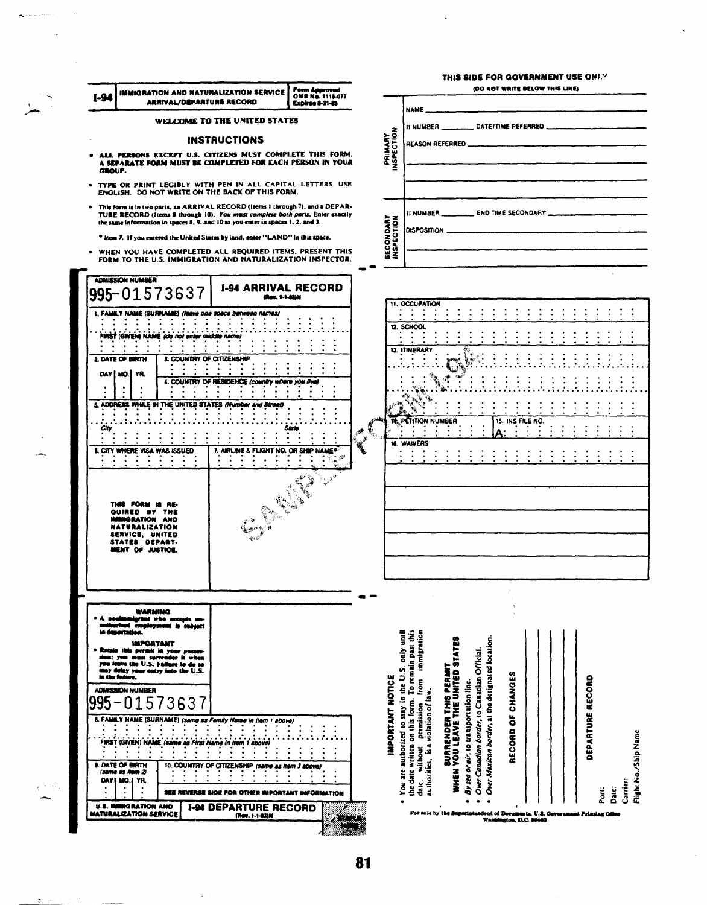|                  | <b>IMMIGRATION AND NATURALIZATION SERVICE</b>                                                                                                                                                                                                        |                                                   | <b>Form Approved</b><br>OMB No. 1115-077 |                                                               |                                                                                                                                                             | THIS SIDE FOR GOVERNMENT USE ONLY                                          |                                                                                                 | (DO NOT WRITE BELOW THIS LINE) |                  |                                 |
|------------------|------------------------------------------------------------------------------------------------------------------------------------------------------------------------------------------------------------------------------------------------------|---------------------------------------------------|------------------------------------------|---------------------------------------------------------------|-------------------------------------------------------------------------------------------------------------------------------------------------------------|----------------------------------------------------------------------------|-------------------------------------------------------------------------------------------------|--------------------------------|------------------|---------------------------------|
|                  | ARRIVAL/DEPARTURE RECORD                                                                                                                                                                                                                             |                                                   | Expires 8-31-85                          |                                                               | <b>NAME</b> _______                                                                                                                                         |                                                                            |                                                                                                 |                                |                  |                                 |
|                  | WELCOME TO THE UNITED STATES                                                                                                                                                                                                                         |                                                   |                                          |                                                               |                                                                                                                                                             |                                                                            |                                                                                                 |                                |                  |                                 |
|                  | ALL PERSONS EXCEPT U.S. CITIZENS MUST COMPLETE THIS FORM.                                                                                                                                                                                            | <b>INSTRUCTIONS</b>                               |                                          | PRIMARY<br>INSPECTION                                         |                                                                                                                                                             | REASON REFERRED                                                            |                                                                                                 |                                |                  |                                 |
| GROUP.           | A SEPARATE FORM MUST BE COMPLETED FOR EACH PERSON IN YOUR                                                                                                                                                                                            |                                                   |                                          |                                                               |                                                                                                                                                             |                                                                            |                                                                                                 |                                |                  |                                 |
|                  | . TYPE OR PRINT LEGIBLY WITH PEN IN ALL CAPITAL LETTERS. USE<br>ENGLISH. DO NOT WRITE ON THE BACK OF THIS FORM.                                                                                                                                      |                                                   |                                          |                                                               |                                                                                                                                                             |                                                                            |                                                                                                 |                                |                  |                                 |
|                  | . This form is in two parts, an ARRIVAL RECORD (Items 1 through 7), and a DEPAR-<br>TURE RECORD (items 8 through 10). You must complete both parts. Enter exactly<br>the same information in spaces 8, 9, and 10 as you enter in spaces 1, 2, and 3. |                                                   |                                          |                                                               | DISPOSITION _                                                                                                                                               |                                                                            |                                                                                                 |                                |                  |                                 |
|                  | * from 7. If you entered the United States by land, enter "LAND" in this space.<br>. WHEN YOU HAVE COMPLETED ALL REQUIRED ITEMS, PRESENT THIS                                                                                                        |                                                   |                                          | <b>SECONDARY</b><br>INSPECTION                                |                                                                                                                                                             |                                                                            |                                                                                                 |                                |                  |                                 |
|                  | FORM TO THE U.S. IMMIGRATION AND NATURALIZATION INSPECTOR.<br><b>ADMISSION NUMBER</b>                                                                                                                                                                |                                                   |                                          |                                                               |                                                                                                                                                             |                                                                            |                                                                                                 |                                |                  |                                 |
|                  | 995-01573637                                                                                                                                                                                                                                         | <b>1-94 ARRIVAL RECORD</b><br>(Rev. 1-1-8200)     |                                          |                                                               | <b>11. OCCUPATION</b>                                                                                                                                       |                                                                            |                                                                                                 |                                |                  |                                 |
|                  | 1, FAMILY NAME (SURNAME) (leave one space between names)                                                                                                                                                                                             |                                                   |                                          |                                                               |                                                                                                                                                             |                                                                            |                                                                                                 |                                |                  |                                 |
|                  | FIRST (GIVEN) NAME (do not enter middle name)                                                                                                                                                                                                        |                                                   |                                          |                                                               | 12 SCHOOL                                                                                                                                                   |                                                                            |                                                                                                 |                                |                  |                                 |
| 2. DATE OF BIRTH | 3. COUNTRY OF CITIZENSHIP                                                                                                                                                                                                                            | $\cdots$                                          |                                          |                                                               | 13. ITINERARY                                                                                                                                               |                                                                            |                                                                                                 |                                |                  |                                 |
|                  | DAY   MO. YR.                                                                                                                                                                                                                                        |                                                   |                                          |                                                               |                                                                                                                                                             |                                                                            |                                                                                                 |                                |                  |                                 |
|                  |                                                                                                                                                                                                                                                      | 4. COUNTRY OF RESIDENCE (country where you live)  |                                          |                                                               |                                                                                                                                                             |                                                                            |                                                                                                 |                                |                  |                                 |
|                  | 5. ADDRESS WHILE IN THE UNITED STATES (Number and Street)                                                                                                                                                                                            |                                                   |                                          |                                                               |                                                                                                                                                             |                                                                            |                                                                                                 |                                |                  |                                 |
| City             |                                                                                                                                                                                                                                                      |                                                   |                                          | <b>意</b>                                                      | NE. PETITION NUMBER                                                                                                                                         |                                                                            |                                                                                                 | 15. INS FILE NO.               |                  |                                 |
|                  |                                                                                                                                                                                                                                                      |                                                   |                                          | $\mathbb{R}^{\blacktriangleright}$<br>$\vec{u}^{\mathcal{I}}$ | <b>18. WAIVERS</b>                                                                                                                                          |                                                                            |                                                                                                 |                                |                  |                                 |
|                  | <b>I. CITY WHERE VISA WAS ISSUED</b>                                                                                                                                                                                                                 | 7. AIRLINE & FLIGHT NO. OR SHIP NAME®             |                                          |                                                               |                                                                                                                                                             |                                                                            |                                                                                                 |                                |                  |                                 |
|                  | THE FORM IS RE-<br>QUIRED BY THE<br><b>IGRATION AND</b><br><b>NATURALIZATION</b>                                                                                                                                                                     |                                                   | يأتهة                                    |                                                               |                                                                                                                                                             |                                                                            |                                                                                                 |                                |                  |                                 |
|                  | SERVICE, UNITED<br>STATES DEPART-<br>MENT OF JUSTICE.                                                                                                                                                                                                |                                                   |                                          |                                                               |                                                                                                                                                             |                                                                            |                                                                                                 |                                |                  |                                 |
|                  | WARNING                                                                                                                                                                                                                                              |                                                   |                                          |                                                               |                                                                                                                                                             |                                                                            |                                                                                                 |                                |                  |                                 |
|                  | grant who accepts un-<br>employment is subject<br>معاندات                                                                                                                                                                                            |                                                   |                                          |                                                               |                                                                                                                                                             |                                                                            |                                                                                                 |                                |                  |                                 |
|                  | <b>IMPORTANT</b><br>this permit in your posses-                                                                                                                                                                                                      |                                                   |                                          |                                                               | from immigration<br>iinu yino                                                                                                                               |                                                                            |                                                                                                 |                                |                  |                                 |
|                  | sion; you must surrender it when<br>you leave the U.S. Failure to do so                                                                                                                                                                              |                                                   |                                          |                                                               |                                                                                                                                                             |                                                                            |                                                                                                 |                                |                  |                                 |
|                  | may delay your entry into the U.S.                                                                                                                                                                                                                   |                                                   |                                          |                                                               |                                                                                                                                                             |                                                                            |                                                                                                 | m                              |                  |                                 |
| in the future.   | <b>ADMISSION NUMBER</b>                                                                                                                                                                                                                              |                                                   |                                          |                                                               |                                                                                                                                                             |                                                                            |                                                                                                 | CHANGE                         |                  |                                 |
|                  |                                                                                                                                                                                                                                                      |                                                   |                                          |                                                               |                                                                                                                                                             |                                                                            |                                                                                                 |                                |                  |                                 |
| 995              | 01573637<br>5. FAMILY NAME (SURNAME) (same as Family Name in Item 1 above)                                                                                                                                                                           |                                                   |                                          |                                                               |                                                                                                                                                             |                                                                            |                                                                                                 |                                |                  |                                 |
|                  | FIRST (GIVEN) NAME (same as First Name in Item 1 above)                                                                                                                                                                                              |                                                   |                                          | <b>IMPORTANT NOTICE</b>                                       | permission                                                                                                                                                  |                                                                            |                                                                                                 | ŏ                              |                  |                                 |
|                  | <b>9. DATE OF BIRTH</b>                                                                                                                                                                                                                              | 10. COUNTRY OF CITIZENSHIP (same as item 3 above) |                                          |                                                               |                                                                                                                                                             | SURRENDER THIS PERMIT                                                      |                                                                                                 | RECORD                         | DEPARTURE RECORD |                                 |
| <b>DAY L</b>     | (same as Nem 2)<br>YR.<br>MO.I                                                                                                                                                                                                                       | SEE REVERSE SIDE FOR OTHER IMPORTANT INFORMATION  |                                          |                                                               | the date written on this form. To remain past this<br>You are authorized to stay in the U.S.<br>authorities, is a violation of law<br>without<br>daic.<br>G | WHEN YOU LEAVE THE UNITED STATES<br>By sea or air. to transportation line. | Over Mexican border, at the designated location.<br>Over Canadian border, to Canadian Official. |                                |                  | Carrier:<br>ii<br>Port<br>Date: |

 $\mathcal{L}_{\mathcal{A}}$ 

 $\ddot{\psi}$ 

 $\tilde{\boldsymbol{y}}$ 

 $\mathbf{Q}$  , and also

 $\left\langle \cdot \right\rangle$ 

81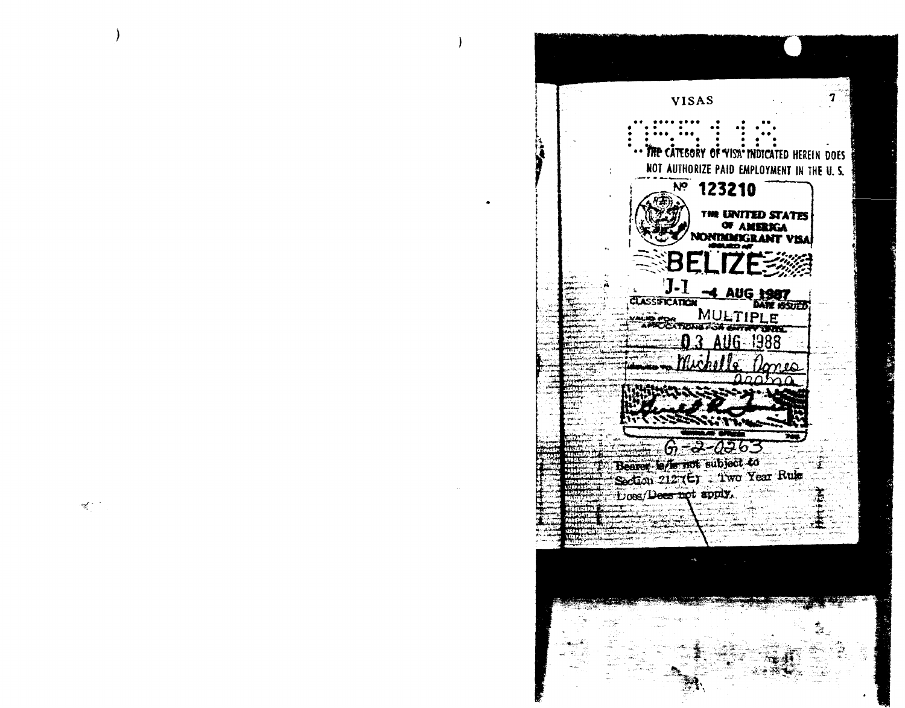$\overline{\mathbf{7}}$ **VISAS** THE CATEGORY OF VISA INDICATED HEREIN DOES NOT AUTHORIZE PAID EMPLOYMENT IN THE U.S.  $\frac{1}{2}$  123210 THE UNITED STATES<br>OF AMERICA<br>NONIMACRANT VISA BELI  $J-1$ **4 AUG 1987 CLASSIFICATION** MULTIPLE **VALIB FOR** 1988  $-2 - 0 - 63$ ကြ Bearer for not subject to<br>Section 212 (E) : Two Year Rule Does/Deen not apply.

 $\mathcal{R}^{(1)}$